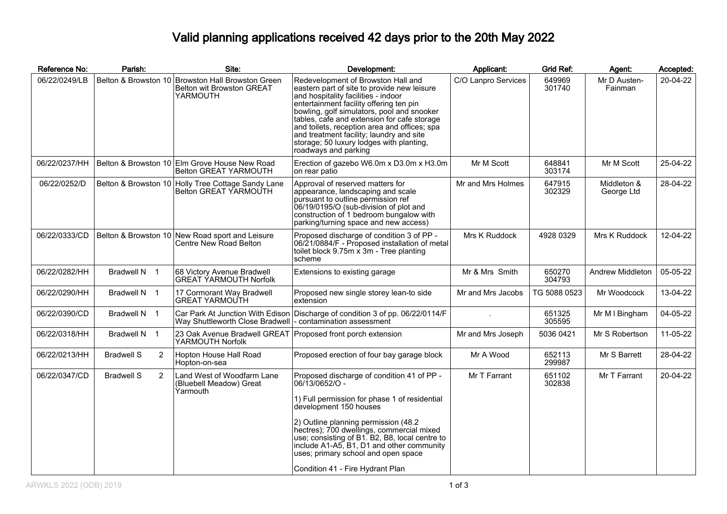## Valid planning applications received 42 days prior to the 20th May 2022

| Reference No: | Parish:                             | Site:                                                                                           | Development:                                                                                                                                                                                                                                                                                                                                                                                                                     | Applicant:          | <b>Grid Ref:</b> | Agent:                    | Accepted: |
|---------------|-------------------------------------|-------------------------------------------------------------------------------------------------|----------------------------------------------------------------------------------------------------------------------------------------------------------------------------------------------------------------------------------------------------------------------------------------------------------------------------------------------------------------------------------------------------------------------------------|---------------------|------------------|---------------------------|-----------|
| 06/22/0249/LB |                                     | Belton & Browston 10 Browston Hall Browston Green<br>Belton wit Browston GREAT<br>YARMOUTH      | Redevelopment of Browston Hall and<br>eastern part of site to provide new leisure<br>and hospitality facilities - indoor<br>entertainment facility offering ten pin<br>bowling, golf simulators, pool and snooker<br>tables, cafe and extension for cafe storage<br>and toilets, reception area and offices; spa<br>and treatment facility; laundry and site<br>storage; 50 luxury lodges with planting,<br>roadways and parking | C/O Lanpro Services | 649969<br>301740 | Mr D Austen-<br>Fainman   | 20-04-22  |
| 06/22/0237/HH |                                     | Belton & Browston 10 Elm Grove House New Road<br><b>Belton GREAT YARMOUTH</b>                   | Erection of gazebo W6.0m x D3.0m x H3.0m<br>on rear patio                                                                                                                                                                                                                                                                                                                                                                        | Mr M Scott          | 648841<br>303174 | Mr M Scott                | 25-04-22  |
| 06/22/0252/D  |                                     | Belton & Browston 10 Holly Tree Cottage Sandy Lane<br>Belton GREAT YARMOUTH                     | Approval of reserved matters for<br>appearance, landscaping and scale<br>pursuant to outline permission ref<br>06/19/0195/O (sub-division of plot and<br>construction of 1 bedroom bungalow with<br>parking/turning space and new access)                                                                                                                                                                                        | Mr and Mrs Holmes   | 647915<br>302329 | Middleton &<br>George Ltd | 28-04-22  |
| 06/22/0333/CD |                                     | Belton & Browston 10 New Road sport and Leisure<br>Centre New Road Belton                       | Proposed discharge of condition 3 of PP -<br>06/21/0884/F - Proposed installation of metal<br>toilet block 9.75m x 3m - Tree planting<br>scheme                                                                                                                                                                                                                                                                                  | Mrs K Ruddock       | 4928 0329        | Mrs K Ruddock             | 12-04-22  |
| 06/22/0282/HH | Bradwell N 1                        | 68 Victory Avenue Bradwell<br><b>GREAT YARMOUTH Norfolk</b>                                     | Extensions to existing garage                                                                                                                                                                                                                                                                                                                                                                                                    | Mr & Mrs Smith      | 650270<br>304793 | Andrew Middleton          | 05-05-22  |
| 06/22/0290/HH | Bradwell N 1                        | 17 Cormorant Way Bradwell<br><b>GREAT YARMOUTH</b>                                              | Proposed new single storey lean-to side<br>extension                                                                                                                                                                                                                                                                                                                                                                             | Mr and Mrs Jacobs   | TG 5088 0523     | Mr Woodcock               | 13-04-22  |
| 06/22/0390/CD | Bradwell N 1                        | Car Park At Junction With Edison<br>Way Shuttleworth Close Bradwell  - contamination assessment | Discharge of condition 3 of pp. 06/22/0114/F                                                                                                                                                                                                                                                                                                                                                                                     |                     | 651325<br>305595 | Mr M I Bingham            | 04-05-22  |
| 06/22/0318/HH | Bradwell N 1                        | 23 Oak Avenue Bradwell GREAT Proposed front porch extension<br>YARMOUTH Norfolk                 |                                                                                                                                                                                                                                                                                                                                                                                                                                  | Mr and Mrs Joseph   | 5036 0421        | Mr S Robertson            | 11-05-22  |
| 06/22/0213/HH | <b>Bradwell S</b><br>$\overline{2}$ | Hopton House Hall Road<br>Hopton-on-sea                                                         | Proposed erection of four bay garage block                                                                                                                                                                                                                                                                                                                                                                                       | Mr A Wood           | 652113<br>299987 | Mr S Barrett              | 28-04-22  |
| 06/22/0347/CD | 2<br><b>Bradwell S</b>              | Land West of Woodfarm Lane<br>(Bluebell Meadow) Great<br>Yarmouth                               | Proposed discharge of condition 41 of PP -<br>06/13/0652/O -<br>1) Full permission for phase 1 of residential<br>development 150 houses<br>2) Outline planning permission (48.2)<br>hectres); 700 dwellings, commercial mixed<br>use; consisting of B1. B2, B8, local centre to<br>include A1-A5, B1, D1 and other community<br>uses; primary school and open space<br>Condition 41 - Fire Hydrant Plan                          | Mr T Farrant        | 651102<br>302838 | Mr T Farrant              | 20-04-22  |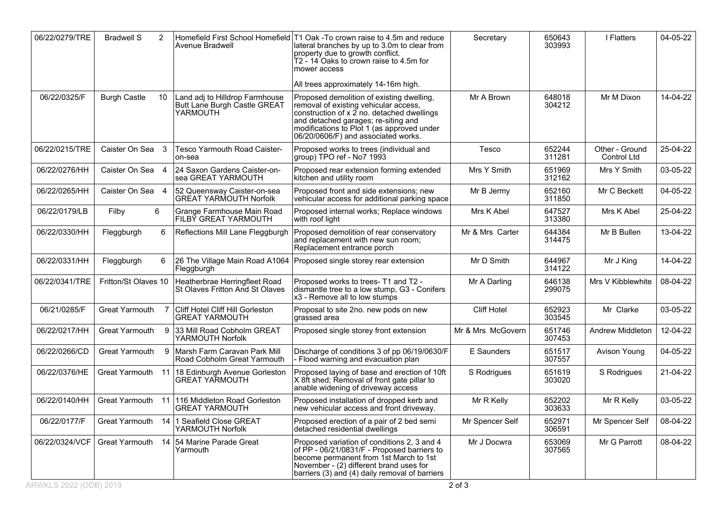| 06/22/0279/TRE | <b>Bradwell S</b>     | 2              | Avenue Bradwell                                                            | Homefield First School Homefield T1 Oak -To crown raise to 4.5m and reduce<br>lateral branches by up to 3.0m to clear from<br>property due to growth conflict.<br>T2 - 14 Oaks to crown raise to 4.5m for<br>mower access                                    | Secretary         | 650643<br>303993 | I Flatters                    | 04-05-22 |
|----------------|-----------------------|----------------|----------------------------------------------------------------------------|--------------------------------------------------------------------------------------------------------------------------------------------------------------------------------------------------------------------------------------------------------------|-------------------|------------------|-------------------------------|----------|
|                |                       |                |                                                                            | All trees approximately 14-16m high.                                                                                                                                                                                                                         |                   |                  |                               |          |
| 06/22/0325/F   | <b>Burgh Castle</b>   | 10             | Land adj to Hilldrop Farmhouse<br>Butt Lane Burgh Castle GREAT<br>YARMOUTH | Proposed demolition of existing dwelling,<br>removal of existing vehicular access,<br>construction of x 2 no. detached dwellings<br>and detached garages; re-siting and<br>modifications to Plot 1 (as approved under<br>06/20/0606/F) and associated works. | Mr A Brown        | 648018<br>304212 | Mr M Dixon                    | 14-04-22 |
| 06/22/0215/TRE | Caister On Sea 3      |                | <b>Tesco Yarmouth Road Caister-</b><br>on-sea                              | Proposed works to trees (individual and<br>group) TPO ref - No7 1993                                                                                                                                                                                         | Tesco             | 652244<br>311281 | Other - Ground<br>Control Ltd | 25-04-22 |
| 06/22/0276/HH  | Caister On Sea 4      |                | 24 Saxon Gardens Caister-on-<br>sea GREAT YARMOUTH                         | Proposed rear extension forming extended<br>kitchen and utility room                                                                                                                                                                                         | Mrs Y Smith       | 651969<br>312162 | Mrs Y Smith                   | 03-05-22 |
| 06/22/0265/HH  | Caister On Sea 4      |                | 52 Queensway Caister-on-sea<br><b>GREAT YARMOUTH Norfolk</b>               | Proposed front and side extensions; new<br>vehicular access for additional parking space                                                                                                                                                                     | Mr B Jermy        | 652160<br>311850 | Mr C Beckett                  | 04-05-22 |
| 06/22/0179/LB  | Filby                 | 6              | Grange Farmhouse Main Road<br>FILBY GREAT YARMOUTH                         | Proposed internal works; Replace windows<br>with roof light                                                                                                                                                                                                  | Mrs K Abel        | 647527<br>313380 | Mrs K Abel                    | 25-04-22 |
| 06/22/0330/HH  | Fleggburgh            | 6              | Reflections Mill Lane Fleggburgh                                           | Proposed demolition of rear conservatory<br>and replacement with new sun room;<br>Replacement entrance porch                                                                                                                                                 | Mr & Mrs Carter   | 644384<br>314475 | Mr B Bullen                   | 13-04-22 |
| 06/22/0331/HH  | Fleggburgh            | 6              | Fleggburgh                                                                 | 26 The Village Main Road A1064   Proposed single storey rear extension                                                                                                                                                                                       | Mr D Smith        | 644967<br>314122 | Mr J King                     | 14-04-22 |
| 06/22/0341/TRE | Fritton/St Olaves 10  |                | Heatherbrae Herringfleet Road<br>St Olaves Fritton And St Olaves           | Proposed works to trees- T1 and T2 -<br>dismantle tree to a low stump, G3 - Conifers<br>x3 - Remove all to low stumps                                                                                                                                        | Mr A Darling      | 646138<br>299075 | Mrs V Kibblewhite             | 08-04-22 |
| 06/21/0285/F   | Great Yarmouth        | $\overline{7}$ | Cliff Hotel Cliff Hill Gorleston<br><b>GREAT YARMOUTH</b>                  | Proposal to site 2no. new pods on new<br>grassed area                                                                                                                                                                                                        | Cliff Hotel       | 652923<br>303545 | Mr Clarke                     | 03-05-22 |
| 06/22/0217/HH  | Great Yarmouth        | 9              | 33 Mill Road Cobholm GREAT<br>YARMOUTH Norfolk                             | Proposed single storey front extension                                                                                                                                                                                                                       | Mr & Mrs McGovern | 651746<br>307453 | Andrew Middleton              | 12-04-22 |
| 06/22/0266/CD  | <b>Great Yarmouth</b> | $\mathbf{Q}$   | Marsh Farm Caravan Park Mill<br>Road Cobholm Great Yarmouth                | Discharge of conditions 3 of pp 06/19/0630/F<br>- Flood warning and evacuation plan                                                                                                                                                                          | E Saunders        | 651517<br>307557 | Avison Young                  | 04-05-22 |
| 06/22/0376/HE  | Great Yarmouth 11     |                | 18 Edinburgh Avenue Gorleston<br><b>GREAT YARMOUTH</b>                     | Proposed laying of base and erection of 10ft<br>X 8ft shed; Removal of front gate pillar to<br>anable widening of driveway access                                                                                                                            | S Rodrigues       | 651619<br>303020 | S Rodrigues                   | 21-04-22 |
| 06/22/0140/HH  | Great Yarmouth        | 11             | 116 Middleton Road Gorleston<br><b>GREAT YARMOUTH</b>                      | Proposed installation of dropped kerb and<br>new vehicular access and front driveway.                                                                                                                                                                        | Mr R Kelly        | 652202<br>303633 | Mr R Kelly                    | 03-05-22 |
| 06/22/0177/F   | Great Yarmouth 14     |                | 1 Seafield Close GREAT<br>YARMOUTH Norfolk                                 | Proposed erection of a pair of 2 bed semi<br>detached residential dwellings                                                                                                                                                                                  | Mr Spencer Self   | 652971<br>306591 | Mr Spencer Self               | 08-04-22 |
| 06/22/0324/VCF | Great Yarmouth        | 14             | 54 Marine Parade Great<br>Yarmouth                                         | Proposed variation of conditions 2, 3 and 4<br>of PP - 06/21/0831/F - Proposed barriers to<br>become permanent from 1st March to 1st<br>November - (2) different brand uses for<br>barriers (3) and (4) daily removal of barriers                            | Mr J Docwra       | 653069<br>307565 | Mr G Parrott                  | 08-04-22 |